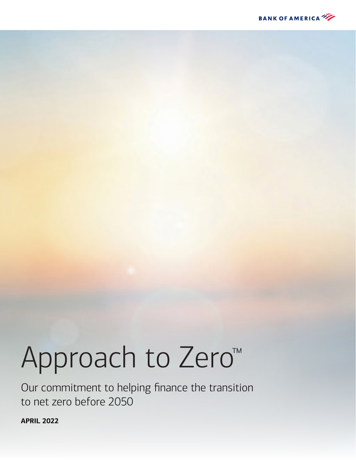

# Approach to Zero™

Our commitment to helping finance the transition to net zero before 2050

**APRIL 2022**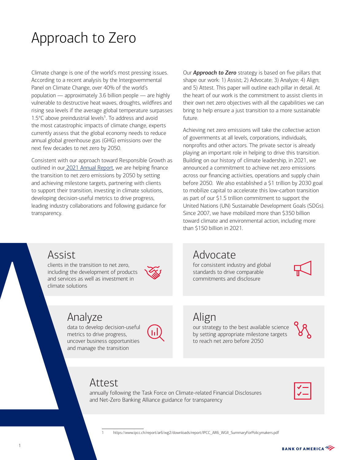# Approach to Zero

Climate change is one of the world's most pressing issues. According to a recent analysis by the Intergovernmental Panel on Climate Change, over 40% of the world's population — approximately 3.6 billion people — are highly vulnerable to destructive heat waves, droughts, wildfires and rising sea levels if the average global temperature surpasses 1.5°C above preindustrial levels<sup>1</sup>. To address and avoid the most catastrophic impacts of climate change, experts currently assess that the global economy needs to reduce annual global greenhouse gas (GHG) emissions over the next few decades to net zero by 2050.

Consistent with our approach toward Responsible Growth as outlined in our [2021 Annual Report,](https://d1io3yog0oux5.cloudfront.net/_7600cdfd61c65016ea273a5139c1f2e5/bankofamerica/db/867/9640/annual_report/BAC_AR21_Full_Report_030122+%281%29.pdf) we are helping finance the transition to net zero emissions by 2050 by setting and achieving milestone targets, partnering with clients to support their transition, investing in climate solutions, developing decision-useful metrics to drive progress, leading industry collaborations and following guidance for transparency.

Our *Approach to Zero* strategy is based on five pillars that shape our work: 1) Assist; 2) Advocate; 3) Analyze; 4) Align; and 5) Attest. This paper will outline each pillar in detail. At the heart of our work is the commitment to assist clients in their own net zero objectives with all the capabilities we can bring to help ensure a just transition to a more sustainable future.

Achieving net zero emissions will take the collective action of governments at all levels, corporations, individuals, nonprofits and other actors. The private sector is already playing an important role in helping to drive this transition. Building on our history of climate leadership, in 2021, we announced a commitment to achieve net zero emissions across our financing activities, operations and supply chain before 2050. We also established a \$1 trillion by 2030 goal to mobilize capital to accelerate this low-carbon transition as part of our \$1.5 trillion commitment to support the United Nations (UN) Sustainable Development Goals (SDGs). Since 2007, we have mobilized more than \$350 billion toward climate and environmental action, including more than \$150 billion in 2021.

## Assist

Eading midistry conductations and iteration to net including the development of and services as well as invested in the transition of the distributions<br>
Analyze data to develop deciments of the proportion and manage the tr clients in the transition to net zero, including the development of products and services as well as investment in climate solutions



# Analyze

data to develop decision-useful metrics to drive progress, uncover business opportunities and manage the transition



# Advocate

for consistent industry and global standards to drive comparable commitments and disclosure

#### Align our strategy to the best available science by setting appropriate milestone targets

to reach net zero before 2050



Attest

1 https://www.ipcc.ch/report/sixth-assessment-report-working-group-ii/clim

annually following the Task Force on Climate-related Financial Disclosures and Net-Zero Banking Alliance guidance for transparency



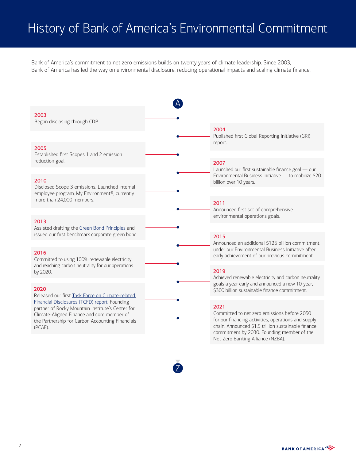# History of Bank of America's Environmental Commitment

Bank of America's commitment to net zero emissions builds on twenty years of climate leadership. Since 2003, Bank of America has led the way on environmental disclosure, reducing operational impacts and scaling climate finance.



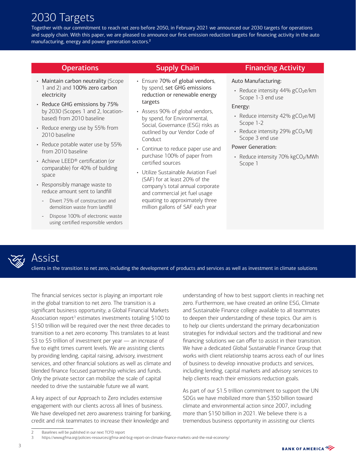# 2030 Targets

Together with our commitment to reach net zero before 2050, in February 2021 we announced our 2030 targets for operations and supply chain. With this paper, we are pleased to announce our first emission reduction targets for financing activity in the auto manufacturing, energy and power generation sectors.2

- Maintain carbon neutrality (Scope 1 and 2) and 100% zero carbon electricity
- Reduce GHG emissions by 75% by 2030 (Scopes 1 and 2, locationbased) from 2010 baseline
- Reduce energy use by 55% from 2010 baseline
- Reduce potable water use by 55% from 2010 baseline
- Achieve LEED® certification (or comparable) for 40% of building space
- Responsibly manage waste to reduce amount sent to landfill
	- Divert 75% of construction and demolition waste from landfill
	- Dispose 100% of electronic waste using certified responsible vendors

- Ensure 70% of global vendors, by spend, set GHG emissions reduction or renewable energy targets
- Assess 90% of global vendors, by spend, for Environmental, Social, Governance (ESG) risks as outlined by our Vendor Code of Conduct
- Continue to reduce paper use and purchase 100% of paper from certified sources
- Utilize Sustainable Aviation Fuel (SAF) for at least 20% of the company's total annual corporate and commercial jet fuel usage equating to approximately three million gallons of SAF each year

#### **Operations Supply Chain** Financing Activity

#### Auto Manufacturing:

• Reduce intensity 44% gCO2e/km Scope 1-3 end use

#### Energy:

- Reduce intensity 42% gCO<sub>2</sub>e/MJ Scope 1-2
- Reduce intensity 29% gCO2/MJ Scope 3 end use

#### Power Generation:

• Reduce intensity 70% kgCO2/MWh Scope 1



### Assist

clients in the transition to net zero, including the development of products and services as well as investment in climate solutions

The financial services sector is playing an important role in the global transition to net zero. The transition is a significant business opportunity; a Global Financial Markets Association report<sup>3</sup> estimates investments totaling \$100 to \$150 trillion will be required over the next three decades to transition to a net zero economy. This translates to at least \$3 to \$5 trillion of investment per year — an increase of five to eight times current levels. We are assisting clients by providing lending, capital raising, advisory, investment services, and other financial solutions as well as climate and blended finance focused partnership vehicles and funds. Only the private sector can mobilize the scale of capital needed to drive the sustainable future we all want.

A key aspect of our Approach to Zero includes extensive engagement with our clients across all lines of business. We have developed net zero awareness training for banking, credit and risk teammates to increase their knowledge and

understanding of how to best support clients in reaching net zero. Furthermore, we have created an online ESG, Climate and Sustainable Finance college available to all teammates to deepen their understanding of these topics. Our aim is to help our clients understand the primary decarbonization strategies for individual sectors and the traditional and new financing solutions we can offer to assist in their transition. We have a dedicated Global Sustainable Finance Group that works with client relationship teams across each of our lines of business to develop innovative products and services, including lending, capital markets and advisory services to help clients reach their emissions reduction goals.

As part of our \$1.5 trillion commitment to support the UN SDGs we have mobilized more than \$350 billion toward climate and environmental action since 2007, including more than \$150 billion in 2021. We believe there is a tremendous business opportunity in assisting our clients

<sup>2</sup> Baselines will be published in our next TCFD report<br>3 https://www.gfma.org/policies-resources/gfma-and

<sup>3</sup> <https://www.gfma.org/policies-resources/gfma-and-bcg-report-on-climate-finance-markets-and-the-real-economy/>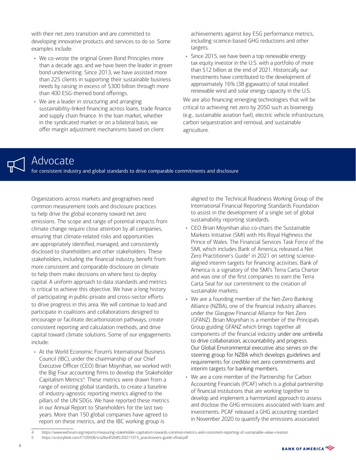with their net zero transition and are committed to developing innovative products and services to do so. Some examples include:

- We co-wrote the original Green Bond Principles more than a decade ago, and we have been the leader in green bond underwriting. Since 2013, we have assisted more than 225 clients in supporting their sustainable business needs by raising in excess of \$300 billion through more than 400 ESG-themed bond offerings.
- We are a leader in structuring and arranging sustainability-linked financing across loans, trade finance and supply chain finance. In the loan market, whether in the syndicated market or on a bilateral basis, we offer margin adjustment mechanisms based on client

achievements against key ESG performance metrics, including science-based GHG reductions and other targets.

• Since 2015, we have been a top renewable energy tax equity investor in the U.S. with a portfolio of more than \$12 billion at the end of 2021. Historically, our investments have contributed to the development of approximately 16% (38 gigawatts) of total installed renewable wind and solar energy capacity in the U.S.

We are also financing emerging technologies that will be critical to achieving net zero by 2050 such as bioenergy (e.g., sustainable aviation fuel), electric vehicle infrastructure, carbon sequestration and removal, and sustainable agriculture.

### Advocate

for consistent industry and global standards to drive comparable commitments and disclosure

Organizations across markets and geographies need common measurement tools and disclosure practices to help drive the global economy toward net zero emissions. The scope and range of potential impacts from climate change require close attention by all companies, ensuring that climate-related risks and opportunities are appropriately identified, managed, and consistently disclosed to shareholders and other stakeholders. These stakeholders, including the financial industry, benefit from more consistent and comparable disclosure on climate to help them make decisions on where best to deploy capital. A uniform approach to data standards and metrics is critical to achieve this objective. We have a long history of participating in public-private and cross-sector efforts to drive progress in this area. We will continue to lead and participate in coalitions and collaborations designed to encourage or facilitate decarbonization pathways, create consistent reporting and calculation methods, and drive capital toward climate solutions. Some of our engagements include:

• At the World Economic Forum's International Business Council (IBC), under the chairmanship of our Chief Executive Officer (CEO) Brian Moynihan, we worked with the Big Four accounting firms to develop the Stakeholder Capitalism Metrics<sup>4</sup>. These metrics were drawn from a range of existing global standards, to create a baseline of industry-agnostic reporting metrics aligned to the pillars of the UN SDGs. We have reported these metrics in our Annual Report to Shareholders for the last two years. More than 150 global companies have agreed to report on these metrics, and the IBC working group is

aligned to the Technical Readiness Working Group of the International Financial Reporting Standards Foundation to assist in the development of a single set of global sustainability reporting standards.

- CEO Brian Moynihan also co-chairs the Sustainable Markets Initiative (SMI) with His Royal Highness the Prince of Wales. The Financial Services Task Force of the SMI, which includes Bank of America, released a Net Zero Practitioner's Guide<sup>5</sup> in 2021 on setting sciencealigned interim targets for financing activities. Bank of America is a signatory of the SMI's Terra Carta Charter and was one of the first companies to earn the Terra Carta Seal for our commitment to the creation of sustainable markets.
- We are a founding member of the Net-Zero Banking Alliance (NZBA), one of the financial industry alliances under the Glasgow Financial Alliance for Net Zero (GFANZ). Brian Moynihan is a member of the Principals Group guiding GFANZ which brings together all components of the financial industry under one umbrella to drive collaboration, accountability and progress. Our Global Environmental executive also serves on the steering group for NZBA which develops guidelines and requirements for credible net zero commitments and interim targets for banking members.
- We are a core member of the Partnership for Carbon Accounting Financials (PCAF) which is a global partnership of financial institutions that are working together to develop and implement a harmonized approach to assess and disclose the GHG emissions associated with loans and investments. PCAF released a GHG accounting standard in November 2020 to quantify the emissions associated

5 [https://a.storyblok.com/f/109506/x/a2be4f2b85/20211015\\_practitioners-guide-vfinal.pdf](https://a.storyblok.com/f/109506/x/a2be4f2b85/20211015_practitioners-guide-vfinal.pdf)



<sup>4</sup> <https://www.weforum.org/reports/measuring-stakeholder-capitalism-towards-common-metrics-and-consistent-reporting-of-sustainable-value-creation><br>5 https://a.storyblok.com/f/109506/x/a2be4f2b85/20211015\_practitioners-guide-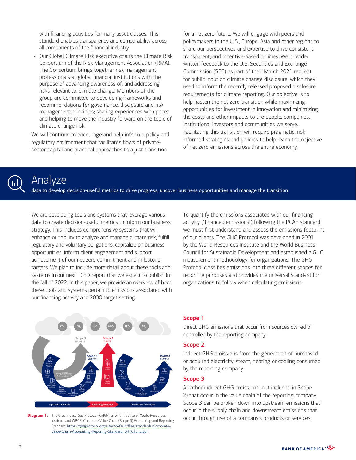with financing activities for many asset classes. This standard enables transparency and comparability across all components of the financial industry.

• Our Global Climate Risk executive chairs the Climate Risk Consortium of the Risk Management Association (RMA). The Consortium brings together risk management professionals at global financial institutions with the purpose of advancing awareness of, and addressing risks relevant to, climate change. Members of the group are committed to developing frameworks and recommendations for governance, disclosure and risk management principles; sharing experiences with peers; and helping to move the industry forward on the topic of climate change risk.

We will continue to encourage and help inform a policy and regulatory environment that facilitates flows of privatesector capital and practical approaches to a just transition

for a net zero future. We will engage with peers and policymakers in the U.S., Europe, Asia and other regions to share our perspectives and expertise to drive consistent, transparent, and incentive-based policies. We provided written feedback to the U.S. Securities and Exchange Commission (SEC) as part of their March 2021 request for public input on climate change disclosure, which they used to inform the recently released proposed disclosure requirements for climate reporting. Our objective is to help hasten the net zero transition while maximizing opportunities for investment in innovation and minimizing the costs and other impacts to the people, companies, institutional investors and communities we serve. Facilitating this transition will require pragmatic, riskinformed strategies and policies to help reach the objective of net zero emissions across the entire economy.



# Analyze

data to develop decision-useful metrics to drive progress, uncover business opportunities and manage the transition

We are developing tools and systems that leverage various data to create decision-useful metrics to inform our business strategy. This includes comprehensive systems that will enhance our ability to analyze and manage climate risk, fulfill regulatory and voluntary obligations, capitalize on business opportunities, inform client engagement and support achievement of our net zero commitment and milestone targets. We plan to include more detail about these tools and systems in our next TCFD report that we expect to publish in the fall of 2022. In this paper, we provide an overview of how these tools and systems pertain to emissions associated with our financing activity and 2030 target setting.

To quantify the emissions associated with our financing activity ("financed emissions") following the PCAF standard we must first understand and assess the emissions footprint of our clients. The GHG Protocol was developed in 2001 by the World Resources Institute and the World Business Council for Sustainable Development and established a GHG measurement methodology for organizations. The GHG Protocol classifies emissions into three different scopes for reporting purposes and provides the universal standard for organizations to follow when calculating emissions.



**Diagram 1.** The Greenhouse Gas Protocol (GHGP), a joint initiative of World Resources Institute and WBCS, Corporate Value Chain (Scope 3) Accounting and Reporting Standard. [https://ghgprotocol.org/sites/default/files/standards/Corporate-](https://www.ghgprotocol.org/sites/default/files/ghgp/standards_supporting/Diagram%20of%20scopes%20and%20emissions%20across%20the%20value%20chain.pdf)[Value-Chain-Accounting-Reporing-Standard\\_041613\\_2.pdf](https://www.ghgprotocol.org/sites/default/files/ghgp/standards_supporting/Diagram%20of%20scopes%20and%20emissions%20across%20the%20value%20chain.pdf)

#### **Scope 1**

Direct GHG emissions that occur from sources owned or controlled by the reporting company.

#### **Scope 2**

Indirect GHG emissions from the generation of purchased or acquired electricity, steam, heating or cooling consumed by the reporting company.

#### **Scope 3**

All other indirect GHG emissions (not included in Scope 2) that occur in the value chain of the reporting company. Scope 3 can be broken down into upstream emissions that occur in the supply chain and downstream emissions that occur through use of a company's products or services.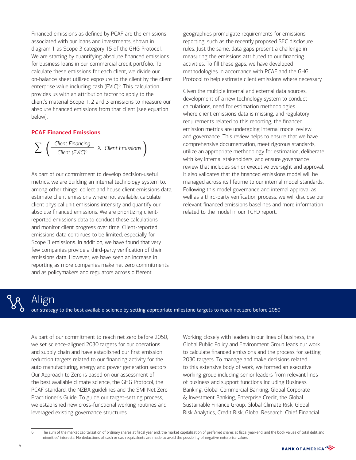Financed emissions as defined by PCAF are the emissions associated with our loans and investments, shown in diagram 1 as Scope 3 category 15 of the GHG Protocol. We are starting by quantifying absolute financed emissions for business loans in our commercial credit portfolio. To calculate these emissions for each client, we divide our on-balance sheet utilized exposure to the client by the client enterprise value including cash (EVIC)<sup>6</sup>. This calculation provides us with an attribution factor to apply to the client's material Scope 1, 2 and 3 emissions to measure our absolute financed emissions from that client (see equation below).

#### **PCAF Financed Emissions**



As part of our commitment to develop decision-useful metrics, we are building an internal technology system to, among other things: collect and house client emissions data, estimate client emissions where not available, calculate client physical unit emissions intensity and quantify our absolute financed emissions. We are prioritizing clientreported emissions data to conduct these calculations and monitor client progress over time. Client-reported emissions data continues to be limited, especially for Scope 3 emissions. In addition, we have found that very few companies provide a third-party verification of their emissions data. However, we have seen an increase in reporting as more companies make net zero commitments and as policymakers and regulators across different

geographies promulgate requirements for emissions reporting, such as the recently proposed SEC disclosure rules. Just the same, data gaps present a challenge in measuring the emissions attributed to our financing activities. To fill these gaps, we have developed methodologies in accordance with PCAF and the GHG Protocol to help estimate client emissions where necessary.

Given the multiple internal and external data sources, development of a new technology system to conduct calculations, need for estimation methodologies where client emissions data is missing, and regulatory requirements related to this reporting, the financed emission metrics are undergoing internal model review and governance. This review helps to ensure that we have comprehensive documentation, meet rigorous standards, utilize an appropriate methodology for estimation, deliberate with key internal stakeholders, and ensure governance review that includes senior executive oversight and approval. It also validates that the financed emissions model will be managed across its lifetime to our internal model standards. Following this model governance and internal approval as well as a third-party verification process, we will disclose our relevant financed emissions baselines and more information related to the model in our TCFD report.



# Align

our strategy to the best available science by setting appropriate milestone targets to reach net zero before 2050

As part of our commitment to reach net zero before 2050, we set science-aligned 2030 targets for our operations and supply chain and have established our first emission reduction targets related to our financing activity for the auto manufacturing, energy and power generation sectors. Our Approach to Zero is based on our assessment of the best available climate science, the GHG Protocol, the PCAF standard, the NZBA guidelines and the SMI Net Zero Practitioner's Guide. To guide our target-setting process, we established new cross-functional working routines and leveraged existing governance structures.

Working closely with leaders in our lines of business, the Global Public Policy and Environment Group leads our work to calculate financed emissions and the process for setting 2030 targets. To manage and make decisions related to this extensive body of work, we formed an executive working group including senior leaders from relevant lines of business and support functions including Business Banking, Global Commercial Banking, Global Corporate & Investment Banking, Enterprise Credit, the Global Sustainable Finance Group, Global Climate Risk, Global Risk Analytics, Credit Risk, Global Research, Chief Financial

<sup>6</sup> The sum of the market capitalization of ordinary shares at fiscal year end, the market capitalization of preferred shares at fiscal year-end, and the book values of total debt and minorities' interests. No deductions of cash or cash equivalents are made to avoid the possibility of negative enterprise values.

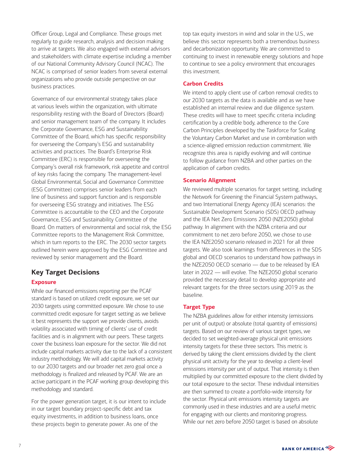Officer Group, Legal and Compliance. These groups met regularly to guide research, analysis and decision making to arrive at targets. We also engaged with external advisors and stakeholders with climate expertise including a member of our National Community Advisory Council (NCAC). The NCAC is comprised of senior leaders from several external organizations who provide outside perspective on our business practices.

Governance of our environmental strategy takes place at various levels within the organization, with ultimate responsibility resting with the Board of Directors (Board) and senior management team of the company. It includes the Corporate Governance, ESG and Sustainability Committee of the Board, which has specific responsibility for overseeing the Company's ESG and sustainability activities and practices. The Board's Enterprise Risk Committee (ERC) is responsible for overseeing the Company's overall risk framework, risk appetite and control of key risks facing the company. The management-level Global Environmental, Social and Governance Committee (ESG Committee) comprises senior leaders from each line of business and support function and is responsible for overseeing ESG strategy and initiatives. The ESG Committee is accountable to the CEO and the Corporate Governance, ESG and Sustainability Committee of the Board. On matters of environmental and social risk, the ESG Committee reports to the Management Risk Committee, which in turn reports to the ERC. The 2030 sector targets outlined herein were approved by the ESG Committee and reviewed by senior management and the Board.

#### **Key Target Decisions**

#### **Exposure**

While our financed emissions reporting per the PCAF standard is based on utilized credit exposure, we set our 2030 targets using committed exposure. We chose to use committed credit exposure for target setting as we believe it best represents the support we provide clients, avoids volatility associated with timing of clients' use of credit facilities and is in alignment with our peers. These targets cover the business loan exposure for the sector. We did not include capital markets activity due to the lack of a consistent industry methodology. We will add capital markets activity to our 2030 targets and our broader net zero goal once a methodology is finalized and released by PCAF. We are an active participant in the PCAF working group developing this methodology and standard.

For the power generation target, it is our intent to include in our target boundary project-specific debt and tax equity investments, in addition to business loans, once these projects begin to generate power. As one of the

top tax equity investors in wind and solar in the U.S., we believe this sector represents both a tremendous business and decarbonization opportunity. We are committed to continuing to invest in renewable energy solutions and hope to continue to see a policy environment that encourages this investment.

#### **Carbon Credits**

We intend to apply client use of carbon removal credits to our 2030 targets as the data is available and as we have established an internal review and due diligence system. These credits will have to meet specific criteria including certification by a credible body, adherence to the Core Carbon Principles developed by the Taskforce for Scaling the Voluntary Carbon Market and use in combination with a science-aligned emission reduction commitment. We recognize this area is rapidly evolving and will continue to follow guidance from NZBA and other parties on the application of carbon credits.

#### **Scenario Alignment**

We reviewed multiple scenarios for target setting, including the Network for Greening the Financial System pathways, and two International Energy Agency (IEA) scenarios: the Sustainable Development Scenario (SDS) OECD pathway and the IEA Net Zero Emissions 2050 (NZE2050) global pathway. In alignment with the NZBA criteria and our commitment to net zero before 2050, we chose to use the IEA NZE2050 scenario released in 2021 for all three targets. We also took learnings from differences in the SDS global and OECD scenarios to understand how pathways in the NZE2050 OECD scenario — due to be released by IEA later in 2022 — will evolve. The NZE2050 global scenario provided the necessary detail to develop appropriate and relevant targets for the three sectors using 2019 as the baseline.

#### **Target Type**

The NZBA guidelines allow for either intensity (emissions per unit of output) or absolute (total quantity of emissions) targets. Based on our review of various target types, we decided to set weighted-average physical unit emissions intensity targets for these three sectors. This metric is derived by taking the client emissions divided by the client physical unit activity for the year to develop a client-level emissions intensity per unit of output. That intensity is then multiplied by our committed exposure to the client divided by our total exposure to the sector. These individual intensities are then summed to create a portfolio-wide intensity for the sector. Physical unit emissions intensity targets are commonly used in these industries and are a useful metric for engaging with our clients and monitoring progress. While our net zero before 2050 target is based on absolute

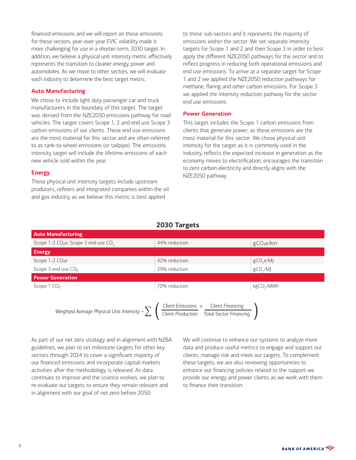financed emissions and we will report on those emissions for these sectors, year-over-year EVIC volatility made it more challenging for use in a shorter-term, 2030 target. In addition, we believe a physical unit intensity metric effectively represents the transition to cleaner energy, power and automobiles. As we move to other sectors, we will evaluate each industry to determine the best target metric.

#### **Auto Manufacturing**

We chose to include light duty passenger car and truck manufacturers in the boundary of this target. The target was derived from the NZE2050 emissions pathway for road vehicles. The target covers Scope 1, 2 and end use Scope 3 carbon emissions of our clients. These end use emissions are the most material for this sector and are often referred to as tank-to-wheel emissions (or tailpipe). The emissions intensity target will include the lifetime emissions of each new vehicle sold within the year.

#### **Energy**

These physical unit intensity targets include upstream producers, refiners and integrated companies within the oil and gas industry, as we believe this metric is best applied

to these sub-sectors and it represents the majority of emissions within the sector. We set separate intensity targets for Scope 1 and 2 and then Scope 3 in order to best apply the different NZE2050 pathways for the sector and to reflect progress in reducing both operational emissions and end use emissions. To arrive at a separate target for Scope 1 and 2 we applied the NZE2050 reduction pathways for methane, flaring and other carbon emissions. For Scope 3 we applied the intensity reduction pathway for the sector end use emissions.

#### **Power Generation**

This target includes the Scope 1 carbon emissions from clients that generate power, as these emissions are the most material for this sector. We chose physical unit intensity for the target as it is commonly used in the industry, reflects the expected increase in generation as the economy moves to electrification, encourages the transition to zero carbon electricity and directly aligns with the NZE2050 pathway.

#### **2030 Targets**



As part of our net zero strategy and in alignment with NZBA guidelines, we plan to set milestone targets for other key sectors through 2024 to cover a significant majority of our financed emissions and incorporate capital markets activities after the methodology is released. As data continues to improve and the science evolves, we plan to re-evaluate our targets to ensure they remain relevant and in alignment with our goal of net zero before 2050.

We will continue to enhance our systems to analyze more data and produce useful metrics to engage and support our clients, manage risk and meet our targets. To complement these targets, we are also reviewing opportunities to enhance our financing policies related to the support we provide our energy and power clients as we work with them to finance their transition.

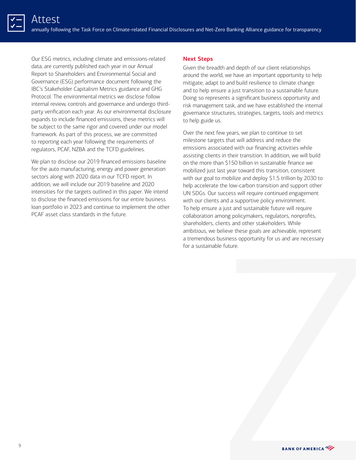Our ESG metrics, including climate and emissions-related data, are currently published each year in our Annual Report to Shareholders and Environmental Social and Governance (ESG) performance document following the IBC's Stakeholder Capitalism Metrics guidance and GHG Protocol. The environmental metrics we disclose follow internal review, controls and governance and undergo thirdparty verification each year. As our environmental disclosure expands to include financed emissions, these metrics will be subject to the same rigor and covered under our model framework. As part of this process, we are committed to reporting each year following the requirements of regulators, PCAF, NZBA and the TCFD guidelines.

We plan to disclose our 2019 financed emissions baseline for the auto manufacturing, energy and power generation sectors along with 2020 data in our TCFD report. In addition, we will include our 2019 baseline and 2020 intensities for the targets outlined in this paper. We intend to disclose the financed emissions for our entire business loan portfolio in 2023 and continue to implement the other PCAF asset class standards in the future.

#### **Next Steps**

Given the breadth and depth of our client relationships around the world, we have an important opportunity to help mitigate, adapt to and build resilience to climate change and to help ensure a just transition to a sustainable future. Doing so represents a significant business opportunity and risk management task, and we have established the internal governance structures, strategies, targets, tools and metrics to help guide us.

Over the next few years, we plan to continue to set milestone targets that will address and reduce the emissions associated with our financing activities while assisting clients in their transition. In addition, we will build on the more than \$150 billion in sustainable finance we mobilized just last year toward this transition, consistent with our goal to mobilize and deploy \$1.5 trillion by 2030 to help accelerate the low-carbon transition and support other UN SDGs. Our success will require continued engagement with our clients and a supportive policy environment. To help ensure a just and sustainable future will require collaboration among policymakers, regulators, nonprofits, shareholders, clients and other stakeholders. While ambitious, we believe these goals are achievable, represent a tremendous business opportunity for us and are necessary for a sustainable future.